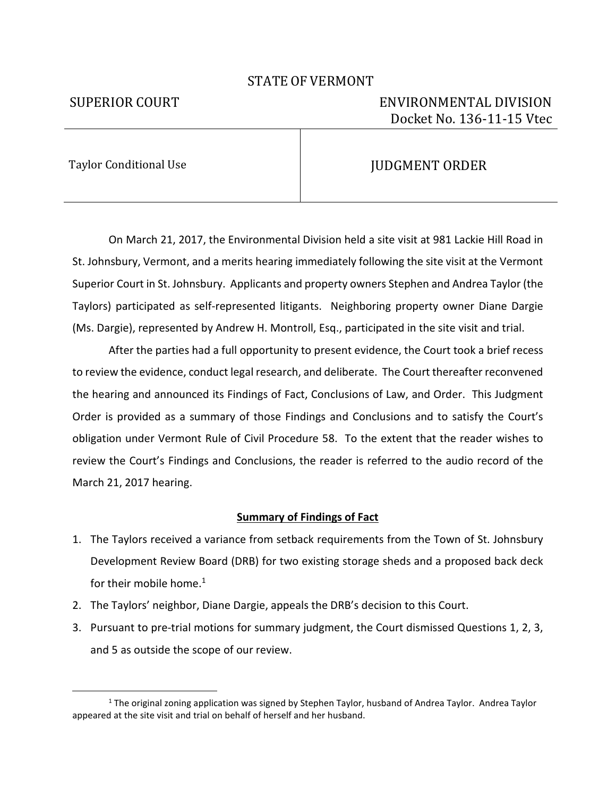## STATE OF VERMONT

# SUPERIOR COURT ENVIRONMENTAL DIVISION Docket No. 136-11-15 Vtec

Taylor Conditional Use July 2012 100 2012 100 2012 100 2012 100 2012 100 2012 100 2013 100 2013 100 2013 100 20

j

 On March 21, 2017, the Environmental Division held a site visit at 981 Lackie Hill Road in St. Johnsbury, Vermont, and a merits hearing immediately following the site visit at the Vermont Superior Court in St. Johnsbury. Applicants and property owners Stephen and Andrea Taylor (the Taylors) participated as self-represented litigants. Neighboring property owner Diane Dargie (Ms. Dargie), represented by Andrew H. Montroll, Esq., participated in the site visit and trial.

 After the parties had a full opportunity to present evidence, the Court took a brief recess to review the evidence, conduct legal research, and deliberate. The Court thereafter reconvened the hearing and announced its Findings of Fact, Conclusions of Law, and Order. This Judgment Order is provided as a summary of those Findings and Conclusions and to satisfy the Court's obligation under Vermont Rule of Civil Procedure 58. To the extent that the reader wishes to review the Court's Findings and Conclusions, the reader is referred to the audio record of the March 21, 2017 hearing.

### **Summary of Findings of Fact**

- 1. The Taylors received a variance from setback requirements from the Town of St. Johnsbury Development Review Board (DRB) for two existing storage sheds and a proposed back deck for their mobile home. $1$
- 2. The Taylors' neighbor, Diane Dargie, appeals the DRB's decision to this Court.
- 3. Pursuant to pre-trial motions for summary judgment, the Court dismissed Questions 1, 2, 3, and 5 as outside the scope of our review.

<sup>&</sup>lt;sup>1</sup> The original zoning application was signed by Stephen Taylor, husband of Andrea Taylor. Andrea Taylor appeared at the site visit and trial on behalf of herself and her husband.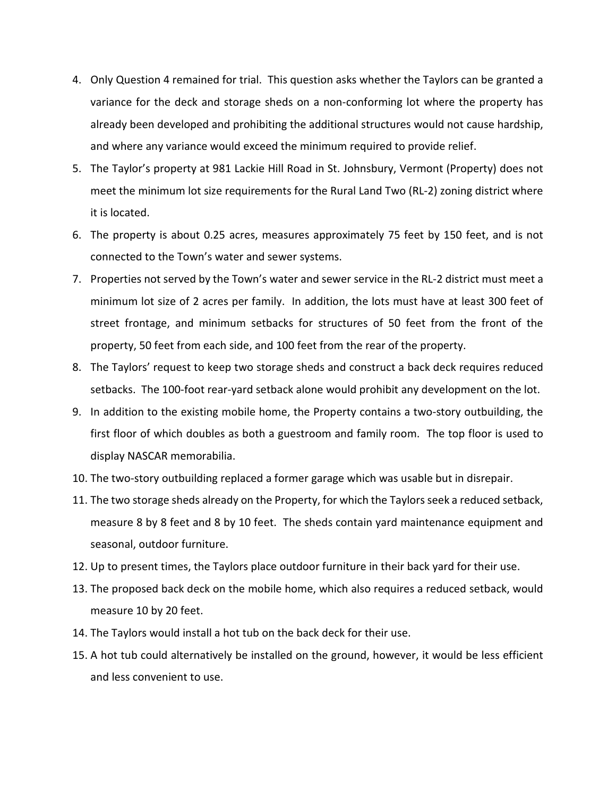- 4. Only Question 4 remained for trial. This question asks whether the Taylors can be granted a variance for the deck and storage sheds on a non-conforming lot where the property has already been developed and prohibiting the additional structures would not cause hardship, and where any variance would exceed the minimum required to provide relief.
- 5. The Taylor's property at 981 Lackie Hill Road in St. Johnsbury, Vermont (Property) does not meet the minimum lot size requirements for the Rural Land Two (RL-2) zoning district where it is located.
- 6. The property is about 0.25 acres, measures approximately 75 feet by 150 feet, and is not connected to the Town's water and sewer systems.
- 7. Properties not served by the Town's water and sewer service in the RL-2 district must meet a minimum lot size of 2 acres per family. In addition, the lots must have at least 300 feet of street frontage, and minimum setbacks for structures of 50 feet from the front of the property, 50 feet from each side, and 100 feet from the rear of the property.
- 8. The Taylors' request to keep two storage sheds and construct a back deck requires reduced setbacks. The 100-foot rear-yard setback alone would prohibit any development on the lot.
- 9. In addition to the existing mobile home, the Property contains a two-story outbuilding, the first floor of which doubles as both a guestroom and family room. The top floor is used to display NASCAR memorabilia.
- 10. The two-story outbuilding replaced a former garage which was usable but in disrepair.
- 11. The two storage sheds already on the Property, for which the Taylors seek a reduced setback, measure 8 by 8 feet and 8 by 10 feet. The sheds contain yard maintenance equipment and seasonal, outdoor furniture.
- 12. Up to present times, the Taylors place outdoor furniture in their back yard for their use.
- 13. The proposed back deck on the mobile home, which also requires a reduced setback, would measure 10 by 20 feet.
- 14. The Taylors would install a hot tub on the back deck for their use.
- 15. A hot tub could alternatively be installed on the ground, however, it would be less efficient and less convenient to use.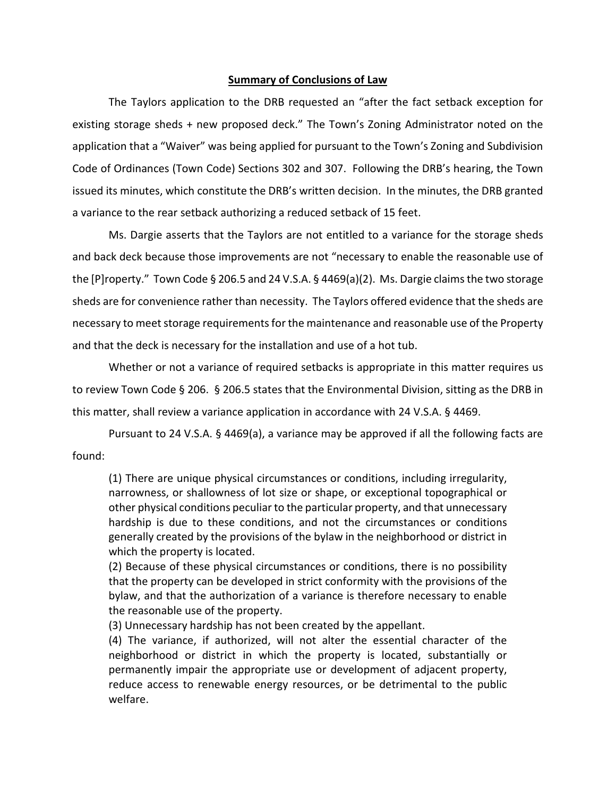### **Summary of Conclusions of Law**

The Taylors application to the DRB requested an "after the fact setback exception for existing storage sheds + new proposed deck." The Town's Zoning Administrator noted on the application that a "Waiver" was being applied for pursuant to the Town's Zoning and Subdivision Code of Ordinances (Town Code) Sections 302 and 307. Following the DRB's hearing, the Town issued its minutes, which constitute the DRB's written decision. In the minutes, the DRB granted a variance to the rear setback authorizing a reduced setback of 15 feet.

Ms. Dargie asserts that the Taylors are not entitled to a variance for the storage sheds and back deck because those improvements are not "necessary to enable the reasonable use of the  $[P]$ roperty." Town Code § 206.5 and 24 V.S.A. § 4469(a)(2). Ms. Dargie claims the two storage sheds are for convenience rather than necessity. The Taylors offered evidence that the sheds are necessary to meet storage requirements for the maintenance and reasonable use of the Property and that the deck is necessary for the installation and use of a hot tub.

Whether or not a variance of required setbacks is appropriate in this matter requires us to review Town Code § 206. § 206.5 states that the Environmental Division, sitting as the DRB in this matter, shall review a variance application in accordance with 24 V.S.A. § 4469.

 Pursuant to 24 V.S.A. § 4469(a), a variance may be approved if all the following facts are found:

(1) There are unique physical circumstances or conditions, including irregularity, narrowness, or shallowness of lot size or shape, or exceptional topographical or other physical conditions peculiar to the particular property, and that unnecessary hardship is due to these conditions, and not the circumstances or conditions generally created by the provisions of the bylaw in the neighborhood or district in which the property is located.

(2) Because of these physical circumstances or conditions, there is no possibility that the property can be developed in strict conformity with the provisions of the bylaw, and that the authorization of a variance is therefore necessary to enable the reasonable use of the property.

(3) Unnecessary hardship has not been created by the appellant.

(4) The variance, if authorized, will not alter the essential character of the neighborhood or district in which the property is located, substantially or permanently impair the appropriate use or development of adjacent property, reduce access to renewable energy resources, or be detrimental to the public welfare.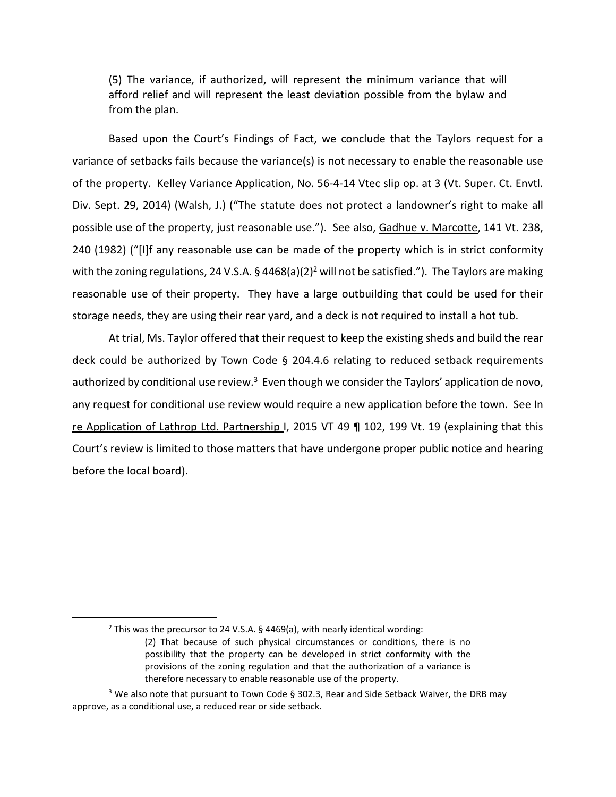(5) The variance, if authorized, will represent the minimum variance that will afford relief and will represent the least deviation possible from the bylaw and from the plan.

 Based upon the Court's Findings of Fact, we conclude that the Taylors request for a variance of setbacks fails because the variance(s) is not necessary to enable the reasonable use of the property. Kelley Variance Application, No. 56-4-14 Vtec slip op. at 3 (Vt. Super. Ct. Envtl. Div. Sept. 29, 2014) (Walsh, J.) ("The statute does not protect a landowner's right to make all possible use of the property, just reasonable use."). See also, Gadhue v. Marcotte, 141 Vt. 238, 240 (1982) ("[I]f any reasonable use can be made of the property which is in strict conformity with the zoning regulations, 24 V.S.A. § 4468(a)(2)<sup>2</sup> will not be satisfied."). The Taylors are making reasonable use of their property. They have a large outbuilding that could be used for their storage needs, they are using their rear yard, and a deck is not required to install a hot tub.

 At trial, Ms. Taylor offered that their request to keep the existing sheds and build the rear deck could be authorized by Town Code § 204.4.6 relating to reduced setback requirements authorized by conditional use review. $3$  Even though we consider the Taylors' application de novo, any request for conditional use review would require a new application before the town. See In re Application of Lathrop Ltd. Partnership I, 2015 VT 49 ¶ 102, 199 Vt. 19 (explaining that this Court's review is limited to those matters that have undergone proper public notice and hearing before the local board).

1

<sup>&</sup>lt;sup>2</sup> This was the precursor to 24 V.S.A. § 4469(a), with nearly identical wording: (2) That because of such physical circumstances or conditions, there is no possibility that the property can be developed in strict conformity with the provisions of the zoning regulation and that the authorization of a variance is therefore necessary to enable reasonable use of the property.

 $3$  We also note that pursuant to Town Code § 302.3, Rear and Side Setback Waiver, the DRB may approve, as a conditional use, a reduced rear or side setback.